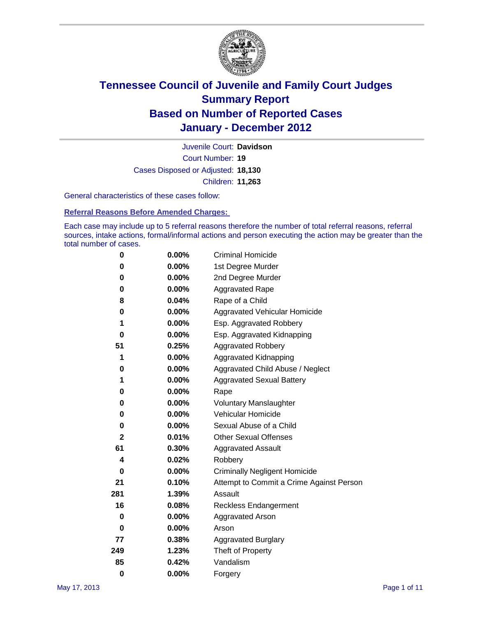

Court Number: **19** Juvenile Court: **Davidson** Cases Disposed or Adjusted: **18,130** Children: **11,263**

General characteristics of these cases follow:

**Referral Reasons Before Amended Charges:** 

Each case may include up to 5 referral reasons therefore the number of total referral reasons, referral sources, intake actions, formal/informal actions and person executing the action may be greater than the total number of cases.

| 0            | $0.00\%$ | <b>Criminal Homicide</b>                 |  |  |  |
|--------------|----------|------------------------------------------|--|--|--|
| 0            | 0.00%    | 1st Degree Murder                        |  |  |  |
| 0            | $0.00\%$ | 2nd Degree Murder                        |  |  |  |
| 0            | $0.00\%$ | <b>Aggravated Rape</b>                   |  |  |  |
| 8            | 0.04%    | Rape of a Child                          |  |  |  |
| 0            | 0.00%    | Aggravated Vehicular Homicide            |  |  |  |
| 1            | 0.00%    | Esp. Aggravated Robbery                  |  |  |  |
| 0            | $0.00\%$ | Esp. Aggravated Kidnapping               |  |  |  |
| 51           | 0.25%    | <b>Aggravated Robbery</b>                |  |  |  |
| 1            | $0.00\%$ | Aggravated Kidnapping                    |  |  |  |
| 0            | 0.00%    | Aggravated Child Abuse / Neglect         |  |  |  |
| 1            | $0.00\%$ | <b>Aggravated Sexual Battery</b>         |  |  |  |
| 0            | 0.00%    | Rape                                     |  |  |  |
| 0            | $0.00\%$ | <b>Voluntary Manslaughter</b>            |  |  |  |
| 0            | 0.00%    | Vehicular Homicide                       |  |  |  |
| 0            | $0.00\%$ | Sexual Abuse of a Child                  |  |  |  |
| $\mathbf{2}$ | 0.01%    | <b>Other Sexual Offenses</b>             |  |  |  |
| 61           | 0.30%    | <b>Aggravated Assault</b>                |  |  |  |
| 4            | 0.02%    | Robbery                                  |  |  |  |
| 0            | 0.00%    | <b>Criminally Negligent Homicide</b>     |  |  |  |
| 21           | 0.10%    | Attempt to Commit a Crime Against Person |  |  |  |
| 281          | 1.39%    | Assault                                  |  |  |  |
| 16           | 0.08%    | <b>Reckless Endangerment</b>             |  |  |  |
| 0            | 0.00%    | <b>Aggravated Arson</b>                  |  |  |  |
| 0            | 0.00%    | Arson                                    |  |  |  |
| 77           | 0.38%    | <b>Aggravated Burglary</b>               |  |  |  |
| 249          | 1.23%    | Theft of Property                        |  |  |  |
| 85           | 0.42%    | Vandalism                                |  |  |  |
| $\bf{0}$     | 0.00%    | Forgery                                  |  |  |  |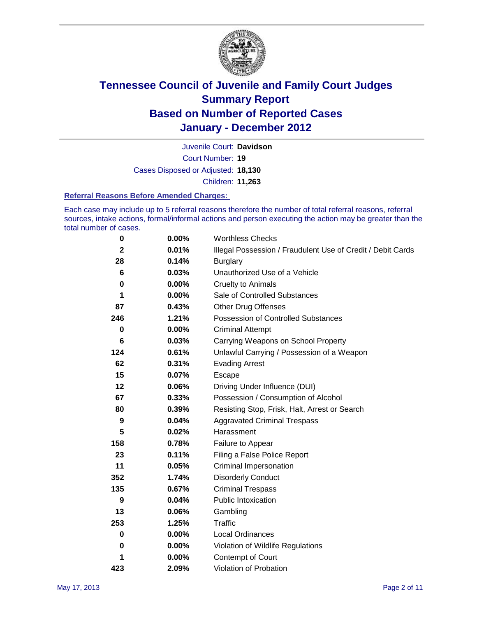

Court Number: **19** Juvenile Court: **Davidson** Cases Disposed or Adjusted: **18,130** Children: **11,263**

#### **Referral Reasons Before Amended Charges:**

Each case may include up to 5 referral reasons therefore the number of total referral reasons, referral sources, intake actions, formal/informal actions and person executing the action may be greater than the total number of cases.

| $\bf{0}$    | 0.00%    | <b>Worthless Checks</b>                                     |
|-------------|----------|-------------------------------------------------------------|
| $\mathbf 2$ | 0.01%    | Illegal Possession / Fraudulent Use of Credit / Debit Cards |
| 28          | 0.14%    | <b>Burglary</b>                                             |
| 6           | 0.03%    | Unauthorized Use of a Vehicle                               |
| 0           | 0.00%    | <b>Cruelty to Animals</b>                                   |
| 1           | $0.00\%$ | Sale of Controlled Substances                               |
| 87          | 0.43%    | <b>Other Drug Offenses</b>                                  |
| 246         | 1.21%    | Possession of Controlled Substances                         |
| 0           | $0.00\%$ | <b>Criminal Attempt</b>                                     |
| 6           | 0.03%    | Carrying Weapons on School Property                         |
| 124         | 0.61%    | Unlawful Carrying / Possession of a Weapon                  |
| 62          | 0.31%    | <b>Evading Arrest</b>                                       |
| 15          | 0.07%    | Escape                                                      |
| 12          | 0.06%    | Driving Under Influence (DUI)                               |
| 67          | 0.33%    | Possession / Consumption of Alcohol                         |
| 80          | 0.39%    | Resisting Stop, Frisk, Halt, Arrest or Search               |
| 9           | 0.04%    | <b>Aggravated Criminal Trespass</b>                         |
| 5           | 0.02%    | Harassment                                                  |
| 158         | 0.78%    | Failure to Appear                                           |
| 23          | 0.11%    | Filing a False Police Report                                |
| 11          | 0.05%    | Criminal Impersonation                                      |
| 352         | 1.74%    | <b>Disorderly Conduct</b>                                   |
| 135         | 0.67%    | <b>Criminal Trespass</b>                                    |
| 9           | 0.04%    | <b>Public Intoxication</b>                                  |
| 13          | 0.06%    | Gambling                                                    |
| 253         | 1.25%    | <b>Traffic</b>                                              |
| 0           | 0.00%    | Local Ordinances                                            |
| 0           | 0.00%    | Violation of Wildlife Regulations                           |
| 1           | 0.00%    | Contempt of Court                                           |
| 423         | 2.09%    | Violation of Probation                                      |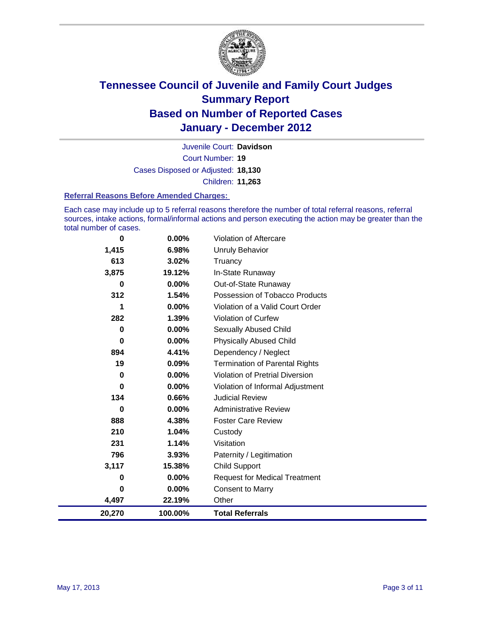

Court Number: **19** Juvenile Court: **Davidson** Cases Disposed or Adjusted: **18,130** Children: **11,263**

#### **Referral Reasons Before Amended Charges:**

Each case may include up to 5 referral reasons therefore the number of total referral reasons, referral sources, intake actions, formal/informal actions and person executing the action may be greater than the total number of cases.

| $\bf{0}$ | 0.00%    | Violation of Aftercare                 |
|----------|----------|----------------------------------------|
| 1,415    | 6.98%    | <b>Unruly Behavior</b>                 |
| 613      | 3.02%    | Truancy                                |
| 3,875    | 19.12%   | In-State Runaway                       |
| 0        | 0.00%    | Out-of-State Runaway                   |
| 312      | 1.54%    | Possession of Tobacco Products         |
| 1        | $0.00\%$ | Violation of a Valid Court Order       |
| 282      | 1.39%    | Violation of Curfew                    |
| 0        | $0.00\%$ | <b>Sexually Abused Child</b>           |
| $\bf{0}$ | 0.00%    | <b>Physically Abused Child</b>         |
| 894      | 4.41%    | Dependency / Neglect                   |
| 19       | 0.09%    | <b>Termination of Parental Rights</b>  |
| $\bf{0}$ | 0.00%    | <b>Violation of Pretrial Diversion</b> |
| 0        | 0.00%    | Violation of Informal Adjustment       |
| 134      | 0.66%    | <b>Judicial Review</b>                 |
| 0        | 0.00%    | <b>Administrative Review</b>           |
| 888      | 4.38%    | <b>Foster Care Review</b>              |
| 210      | 1.04%    | Custody                                |
| 231      | 1.14%    | Visitation                             |
| 796      | 3.93%    | Paternity / Legitimation               |
| 3,117    | 15.38%   | <b>Child Support</b>                   |
| 0        | 0.00%    | <b>Request for Medical Treatment</b>   |
| $\bf{0}$ | 0.00%    | <b>Consent to Marry</b>                |
| 4,497    | 22.19%   | Other                                  |
| 20,270   | 100.00%  | <b>Total Referrals</b>                 |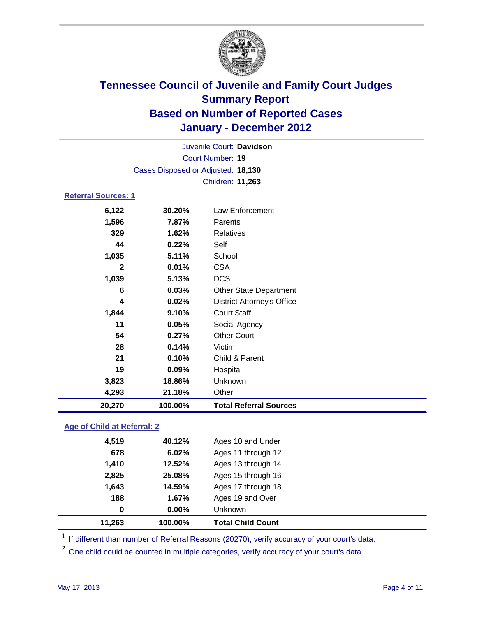

|                            |                                    | Juvenile Court: Davidson          |
|----------------------------|------------------------------------|-----------------------------------|
|                            |                                    | <b>Court Number: 19</b>           |
|                            | Cases Disposed or Adjusted: 18,130 |                                   |
|                            |                                    | Children: 11,263                  |
| <b>Referral Sources: 1</b> |                                    |                                   |
| 6,122                      | 30.20%                             | Law Enforcement                   |
| 1,596                      | 7.87%                              | Parents                           |
| 329                        | 1.62%                              | <b>Relatives</b>                  |
| 44                         | 0.22%                              | Self                              |
| 1,035                      | 5.11%                              | School                            |
| $\mathbf{2}$               | 0.01%                              | <b>CSA</b>                        |
| 1,039                      | 5.13%                              | <b>DCS</b>                        |
| 6                          | 0.03%                              | <b>Other State Department</b>     |
| 4                          | 0.02%                              | <b>District Attorney's Office</b> |
| 1,844                      | 9.10%                              | <b>Court Staff</b>                |
| 11                         | 0.05%                              | Social Agency                     |
| 54                         | 0.27%                              | <b>Other Court</b>                |
| 28                         | 0.14%                              | Victim                            |
| 21                         | 0.10%                              | Child & Parent                    |
| 19                         | 0.09%                              | Hospital                          |
| 3,823                      | 18.86%                             | Unknown                           |
| 4,293                      | 21.18%                             | Other                             |
| 20,270                     | 100.00%                            | <b>Total Referral Sources</b>     |

### **Age of Child at Referral: 2**

| 11.263 | 100.00%       | <b>Total Child Count</b> |
|--------|---------------|--------------------------|
|        | $0.00\%$<br>0 | Unknown                  |
|        | 188<br>1.67%  | Ages 19 and Over         |
| 1,643  | 14.59%        | Ages 17 through 18       |
| 2,825  | 25.08%        | Ages 15 through 16       |
| 1,410  | 12.52%        | Ages 13 through 14       |
|        | 678<br>6.02%  | Ages 11 through 12       |
| 4,519  | 40.12%        | Ages 10 and Under        |
|        |               |                          |

<sup>1</sup> If different than number of Referral Reasons (20270), verify accuracy of your court's data.

<sup>2</sup> One child could be counted in multiple categories, verify accuracy of your court's data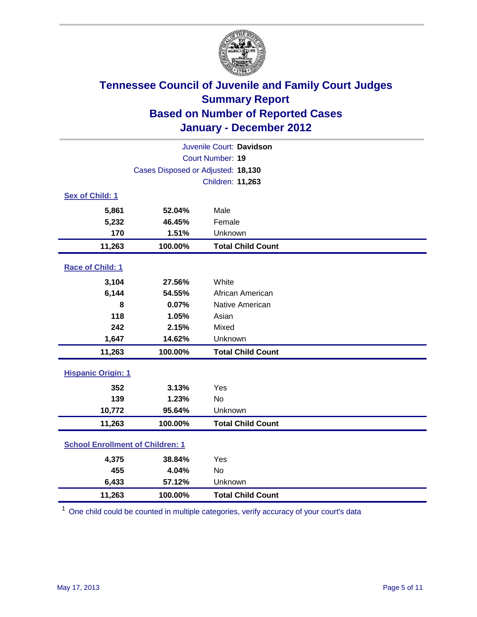

| Juvenile Court: Davidson                |                                    |                          |  |  |
|-----------------------------------------|------------------------------------|--------------------------|--|--|
|                                         | Court Number: 19                   |                          |  |  |
|                                         | Cases Disposed or Adjusted: 18,130 |                          |  |  |
|                                         |                                    | Children: 11,263         |  |  |
| Sex of Child: 1                         |                                    |                          |  |  |
| 5,861                                   | 52.04%                             | Male                     |  |  |
| 5,232                                   | 46.45%                             | Female                   |  |  |
| 170                                     | 1.51%                              | Unknown                  |  |  |
| 11,263                                  | 100.00%                            | <b>Total Child Count</b> |  |  |
| Race of Child: 1                        |                                    |                          |  |  |
| 3,104                                   | 27.56%                             | White                    |  |  |
| 6,144                                   | 54.55%                             | African American         |  |  |
| 8                                       | 0.07%                              | Native American          |  |  |
| 118                                     | 1.05%                              | Asian                    |  |  |
| 242                                     | 2.15%                              | Mixed                    |  |  |
| 1,647                                   | 14.62%                             | Unknown                  |  |  |
| 11,263                                  | 100.00%                            | <b>Total Child Count</b> |  |  |
| <b>Hispanic Origin: 1</b>               |                                    |                          |  |  |
| 352                                     | 3.13%                              | Yes                      |  |  |
| 139                                     | 1.23%                              | No                       |  |  |
| 10,772                                  | 95.64%                             | Unknown                  |  |  |
| 11,263                                  | 100.00%                            | <b>Total Child Count</b> |  |  |
| <b>School Enrollment of Children: 1</b> |                                    |                          |  |  |
| 4,375                                   | 38.84%                             | Yes                      |  |  |
| 455                                     | 4.04%                              | <b>No</b>                |  |  |
| 6,433                                   | 57.12%                             | Unknown                  |  |  |
| 11,263                                  | 100.00%                            | <b>Total Child Count</b> |  |  |

<sup>1</sup> One child could be counted in multiple categories, verify accuracy of your court's data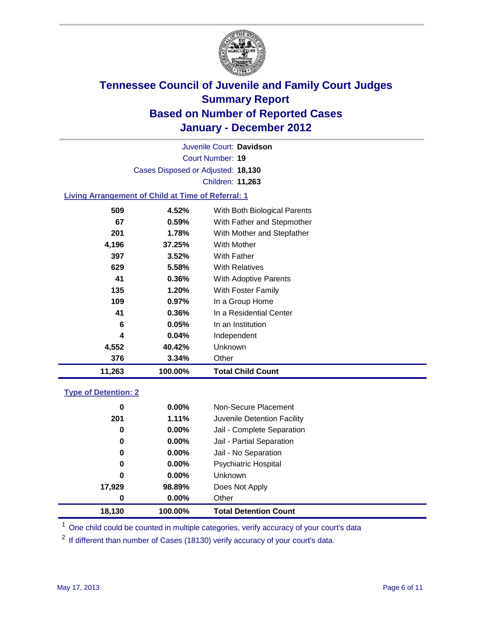

Court Number: **19** Juvenile Court: **Davidson** Cases Disposed or Adjusted: **18,130** Children: **11,263**

### **Living Arrangement of Child at Time of Referral: 1**

| 11,263 | 100.00% | Total Child Count            |
|--------|---------|------------------------------|
| 376    | 3.34%   | Other                        |
| 4,552  | 40.42%  | Unknown                      |
| 4      | 0.04%   | Independent                  |
| 6      | 0.05%   | In an Institution            |
| 41     | 0.36%   | In a Residential Center      |
| 109    | 0.97%   | In a Group Home              |
| 135    | 1.20%   | With Foster Family           |
| 41     | 0.36%   | <b>With Adoptive Parents</b> |
| 629    | 5.58%   | <b>With Relatives</b>        |
| 397    | 3.52%   | With Father                  |
| 4,196  | 37.25%  | With Mother                  |
| 201    | 1.78%   | With Mother and Stepfather   |
| 67     | 0.59%   | With Father and Stepmother   |
| 509    | 4.52%   | With Both Biological Parents |
|        |         |                              |

#### **Type of Detention: 2**

| 18,130 | 100.00%  | <b>Total Detention Count</b> |
|--------|----------|------------------------------|
| 0      | $0.00\%$ | Other                        |
| 17,929 | 98.89%   | Does Not Apply               |
| 0      | $0.00\%$ | <b>Unknown</b>               |
| 0      | 0.00%    | <b>Psychiatric Hospital</b>  |
| 0      | 0.00%    | Jail - No Separation         |
| 0      | $0.00\%$ | Jail - Partial Separation    |
| 0      | 0.00%    | Jail - Complete Separation   |
| 201    | 1.11%    | Juvenile Detention Facility  |
| 0      | $0.00\%$ | Non-Secure Placement         |
|        |          |                              |

<sup>1</sup> One child could be counted in multiple categories, verify accuracy of your court's data

<sup>2</sup> If different than number of Cases (18130) verify accuracy of your court's data.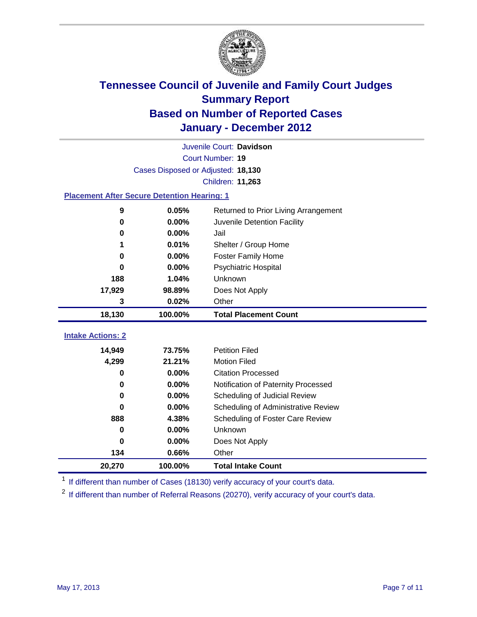

|                                                    | Juvenile Court: Davidson           |                                      |  |  |  |
|----------------------------------------------------|------------------------------------|--------------------------------------|--|--|--|
|                                                    | Court Number: 19                   |                                      |  |  |  |
|                                                    | Cases Disposed or Adjusted: 18,130 |                                      |  |  |  |
|                                                    |                                    | Children: 11,263                     |  |  |  |
| <b>Placement After Secure Detention Hearing: 1</b> |                                    |                                      |  |  |  |
| 9                                                  | 0.05%                              | Returned to Prior Living Arrangement |  |  |  |
| 0                                                  | 0.00%                              | Juvenile Detention Facility          |  |  |  |
| 0                                                  | 0.00%                              | Jail                                 |  |  |  |
| 1                                                  | 0.01%                              | Shelter / Group Home                 |  |  |  |
| 0                                                  | 0.00%                              | <b>Foster Family Home</b>            |  |  |  |
| 0                                                  | 0.00%                              | Psychiatric Hospital                 |  |  |  |
| 188                                                | 1.04%                              | Unknown                              |  |  |  |
| 17,929                                             | 98.89%                             | Does Not Apply                       |  |  |  |
| 3                                                  | 0.02%                              | Other                                |  |  |  |
| 18,130                                             | 100.00%                            | <b>Total Placement Count</b>         |  |  |  |
| <b>Intake Actions: 2</b>                           |                                    |                                      |  |  |  |
|                                                    |                                    |                                      |  |  |  |
| 14,949                                             | 73.75%                             | <b>Petition Filed</b>                |  |  |  |
| 4,299                                              | 21.21%                             | <b>Motion Filed</b>                  |  |  |  |
| 0                                                  | 0.00%                              | <b>Citation Processed</b>            |  |  |  |
| 0                                                  | 0.00%                              | Notification of Paternity Processed  |  |  |  |
| 0                                                  | 0.00%                              | Scheduling of Judicial Review        |  |  |  |
| 0                                                  | 0.00%                              | Scheduling of Administrative Review  |  |  |  |
| 888                                                | 4.38%                              | Scheduling of Foster Care Review     |  |  |  |
| 0                                                  | 0.00%                              | Unknown                              |  |  |  |
| 0                                                  | 0.00%                              | Does Not Apply                       |  |  |  |
| 134                                                | 0.66%                              | Other                                |  |  |  |
| 20,270                                             | 100.00%                            | <b>Total Intake Count</b>            |  |  |  |

<sup>1</sup> If different than number of Cases (18130) verify accuracy of your court's data.

<sup>2</sup> If different than number of Referral Reasons (20270), verify accuracy of your court's data.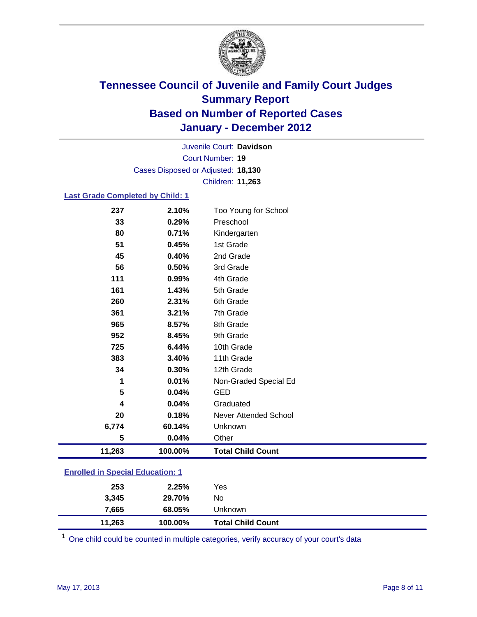

Court Number: **19** Juvenile Court: **Davidson** Cases Disposed or Adjusted: **18,130** Children: **11,263**

### **Last Grade Completed by Child: 1**

| 237                                     | 2.10%   | Too Young for School         |  |
|-----------------------------------------|---------|------------------------------|--|
| 33                                      | 0.29%   | Preschool                    |  |
| 80                                      | 0.71%   | Kindergarten                 |  |
| 51                                      | 0.45%   | 1st Grade                    |  |
| 45                                      | 0.40%   | 2nd Grade                    |  |
| 56                                      | 0.50%   | 3rd Grade                    |  |
| 111                                     | 0.99%   | 4th Grade                    |  |
| 161                                     | 1.43%   | 5th Grade                    |  |
| 260                                     | 2.31%   | 6th Grade                    |  |
| 361                                     | 3.21%   | 7th Grade                    |  |
| 965                                     | 8.57%   | 8th Grade                    |  |
| 952                                     | 8.45%   | 9th Grade                    |  |
| 725                                     | 6.44%   | 10th Grade                   |  |
| 383                                     | 3.40%   | 11th Grade                   |  |
| 34                                      | 0.30%   | 12th Grade                   |  |
| 1                                       | 0.01%   | Non-Graded Special Ed        |  |
| 5                                       | 0.04%   | <b>GED</b>                   |  |
| 4                                       | 0.04%   | Graduated                    |  |
| 20                                      | 0.18%   | <b>Never Attended School</b> |  |
| 6,774                                   | 60.14%  | Unknown                      |  |
| 5                                       | 0.04%   | Other                        |  |
| 11,263                                  | 100.00% | <b>Total Child Count</b>     |  |
| <b>Enrolled in Special Education: 1</b> |         |                              |  |
|                                         |         |                              |  |

| 253    | 2.25%   | Yes                      |  |
|--------|---------|--------------------------|--|
| 3.345  | 29.70%  | No                       |  |
| 7,665  | 68.05%  | Unknown                  |  |
| 11,263 | 100.00% | <b>Total Child Count</b> |  |

 $1$  One child could be counted in multiple categories, verify accuracy of your court's data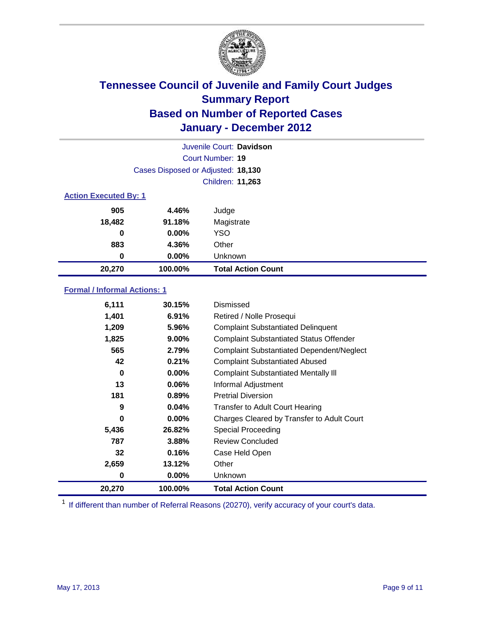

|                              |                                    | Juvenile Court: Davidson  |
|------------------------------|------------------------------------|---------------------------|
|                              |                                    | Court Number: 19          |
|                              | Cases Disposed or Adjusted: 18,130 |                           |
|                              |                                    | Children: 11,263          |
| <b>Action Executed By: 1</b> |                                    |                           |
| 905                          | 4.46%                              | Judge                     |
| 18,482                       | 91.18%                             | Magistrate                |
| 0                            | $0.00\%$                           | <b>YSO</b>                |
| 883                          | 4.36%                              | Other                     |
| 0                            | 0.00%                              | Unknown                   |
| 20,270                       | 100.00%                            | <b>Total Action Count</b> |

### **Formal / Informal Actions: 1**

| 6,111  | 30.15%   | Dismissed                                        |
|--------|----------|--------------------------------------------------|
| 1,401  | 6.91%    | Retired / Nolle Prosequi                         |
| 1,209  | 5.96%    | <b>Complaint Substantiated Delinquent</b>        |
| 1,825  | $9.00\%$ | <b>Complaint Substantiated Status Offender</b>   |
| 565    | 2.79%    | <b>Complaint Substantiated Dependent/Neglect</b> |
| 42     | 0.21%    | <b>Complaint Substantiated Abused</b>            |
| 0      | $0.00\%$ | <b>Complaint Substantiated Mentally III</b>      |
| 13     | 0.06%    | Informal Adjustment                              |
| 181    | 0.89%    | <b>Pretrial Diversion</b>                        |
| 9      | 0.04%    | <b>Transfer to Adult Court Hearing</b>           |
| 0      | $0.00\%$ | Charges Cleared by Transfer to Adult Court       |
| 5,436  | 26.82%   | Special Proceeding                               |
| 787    | 3.88%    | <b>Review Concluded</b>                          |
| 32     | 0.16%    | Case Held Open                                   |
| 2,659  | 13.12%   | Other                                            |
| 0      | 0.00%    | <b>Unknown</b>                                   |
| 20,270 | 100.00%  | <b>Total Action Count</b>                        |

<sup>1</sup> If different than number of Referral Reasons (20270), verify accuracy of your court's data.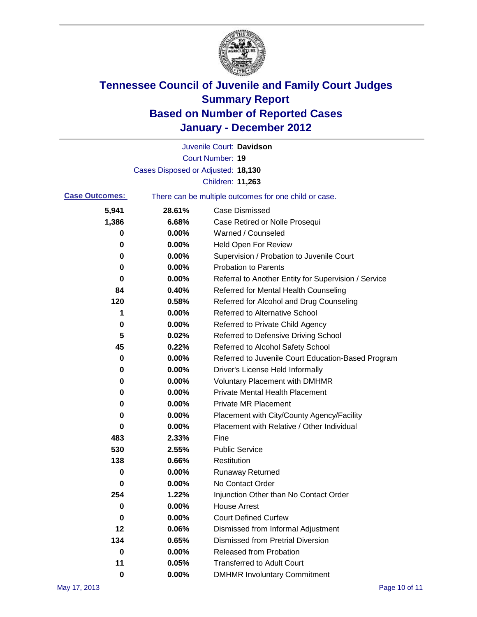

|                       |                                    | Juvenile Court: Davidson                              |
|-----------------------|------------------------------------|-------------------------------------------------------|
|                       |                                    | <b>Court Number: 19</b>                               |
|                       | Cases Disposed or Adjusted: 18,130 |                                                       |
|                       |                                    | Children: 11,263                                      |
| <b>Case Outcomes:</b> |                                    | There can be multiple outcomes for one child or case. |
| 5,941                 | 28.61%                             | <b>Case Dismissed</b>                                 |
| 1,386                 | 6.68%                              | Case Retired or Nolle Prosequi                        |
| 0                     | 0.00%                              | Warned / Counseled                                    |
| 0                     | 0.00%                              | <b>Held Open For Review</b>                           |
| 0                     | 0.00%                              | Supervision / Probation to Juvenile Court             |
| 0                     | 0.00%                              | <b>Probation to Parents</b>                           |
| 0                     | 0.00%                              | Referral to Another Entity for Supervision / Service  |
| 84                    | 0.40%                              | Referred for Mental Health Counseling                 |
| 120                   | 0.58%                              | Referred for Alcohol and Drug Counseling              |
| 1                     | 0.00%                              | <b>Referred to Alternative School</b>                 |
| 0                     | 0.00%                              | Referred to Private Child Agency                      |
| 5                     | 0.02%                              | Referred to Defensive Driving School                  |
| 45                    | 0.22%                              | Referred to Alcohol Safety School                     |
| 0                     | 0.00%                              | Referred to Juvenile Court Education-Based Program    |
| 0                     | 0.00%                              | Driver's License Held Informally                      |
| 0                     | 0.00%                              | <b>Voluntary Placement with DMHMR</b>                 |
| 0                     | 0.00%                              | <b>Private Mental Health Placement</b>                |
| 0                     | 0.00%                              | <b>Private MR Placement</b>                           |
| 0                     | 0.00%                              | Placement with City/County Agency/Facility            |
| 0                     | 0.00%                              | Placement with Relative / Other Individual            |
| 483                   | 2.33%                              | Fine                                                  |
| 530                   | 2.55%                              | <b>Public Service</b>                                 |
| 138                   | 0.66%                              | Restitution                                           |
| 0                     | 0.00%                              | <b>Runaway Returned</b>                               |
| 0                     | 0.00%                              | No Contact Order                                      |
| 254                   | 1.22%                              | Injunction Other than No Contact Order                |
| 0                     | 0.00%                              | <b>House Arrest</b>                                   |
| 0                     | 0.00%                              | <b>Court Defined Curfew</b>                           |
| 12                    | 0.06%                              | Dismissed from Informal Adjustment                    |
| 134                   | 0.65%                              | <b>Dismissed from Pretrial Diversion</b>              |
| 0                     | 0.00%                              | Released from Probation                               |
| 11                    | 0.05%                              | <b>Transferred to Adult Court</b>                     |
| 0                     | $0.00\%$                           | <b>DMHMR Involuntary Commitment</b>                   |